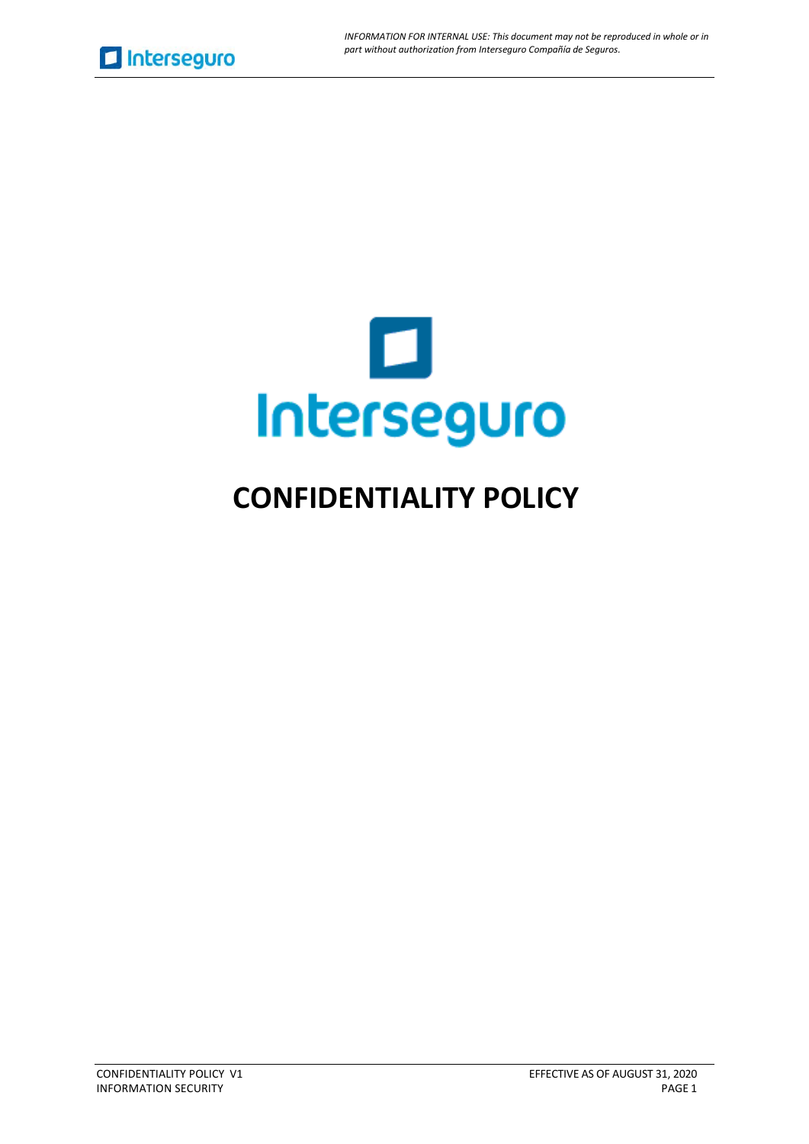

# **CONFIDENTIALITY POLICY**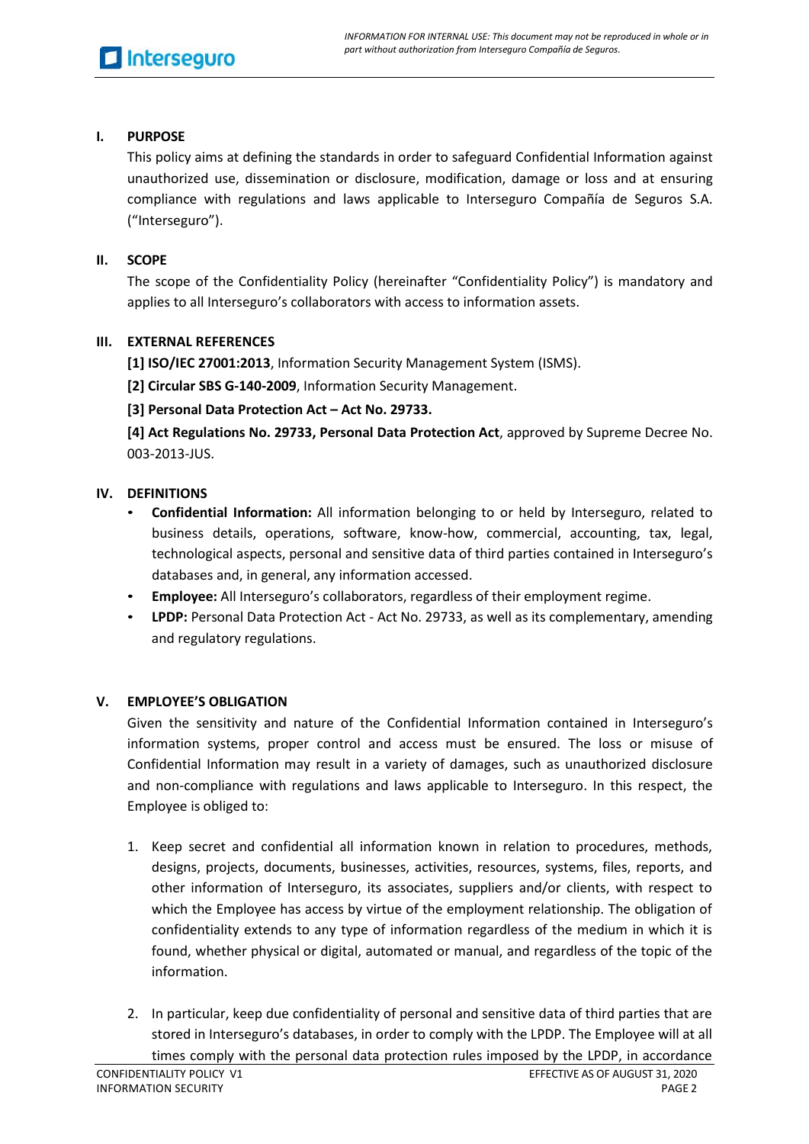# **I. PURPOSE**

This policy aims at defining the standards in order to safeguard Confidential Information against unauthorized use, dissemination or disclosure, modification, damage or loss and at ensuring compliance with regulations and laws applicable to Interseguro Compañía de Seguros S.A. ("Interseguro").

## **II. SCOPE**

The scope of the Confidentiality Policy (hereinafter "Confidentiality Policy") is mandatory and applies to all Interseguro's collaborators with access to information assets.

# **III. EXTERNAL REFERENCES**

**[1] ISO/IEC 27001:2013**, Information Security Management System (ISMS).

**[2] Circular SBS G-140-2009**, Information Security Management.

**[3] Personal Data Protection Act – Act No. 29733.**

**[4] Act Regulations No. 29733, Personal Data Protection Act**, approved by Supreme Decree No. 003-2013-JUS.

# **IV. DEFINITIONS**

- **Confidential Information:** All information belonging to or held by Interseguro, related to business details, operations, software, know-how, commercial, accounting, tax, legal, technological aspects, personal and sensitive data of third parties contained in Interseguro's databases and, in general, any information accessed.
- **Employee:** All Interseguro's collaborators, regardless of their employment regime.
- **LPDP:** Personal Data Protection Act Act No. 29733, as well as its complementary, amending and regulatory regulations.

#### **V. EMPLOYEE'S OBLIGATION**

Given the sensitivity and nature of the Confidential Information contained in Interseguro's information systems, proper control and access must be ensured. The loss or misuse of Confidential Information may result in a variety of damages, such as unauthorized disclosure and non-compliance with regulations and laws applicable to Interseguro. In this respect, the Employee is obliged to:

- 1. Keep secret and confidential all information known in relation to procedures, methods, designs, projects, documents, businesses, activities, resources, systems, files, reports, and other information of Interseguro, its associates, suppliers and/or clients, with respect to which the Employee has access by virtue of the employment relationship. The obligation of confidentiality extends to any type of information regardless of the medium in which it is found, whether physical or digital, automated or manual, and regardless of the topic of the information.
- 2. In particular, keep due confidentiality of personal and sensitive data of third parties that are stored in Interseguro's databases, in order to comply with the LPDP. The Employee will at all times comply with the personal data protection rules imposed by the LPDP, in accordance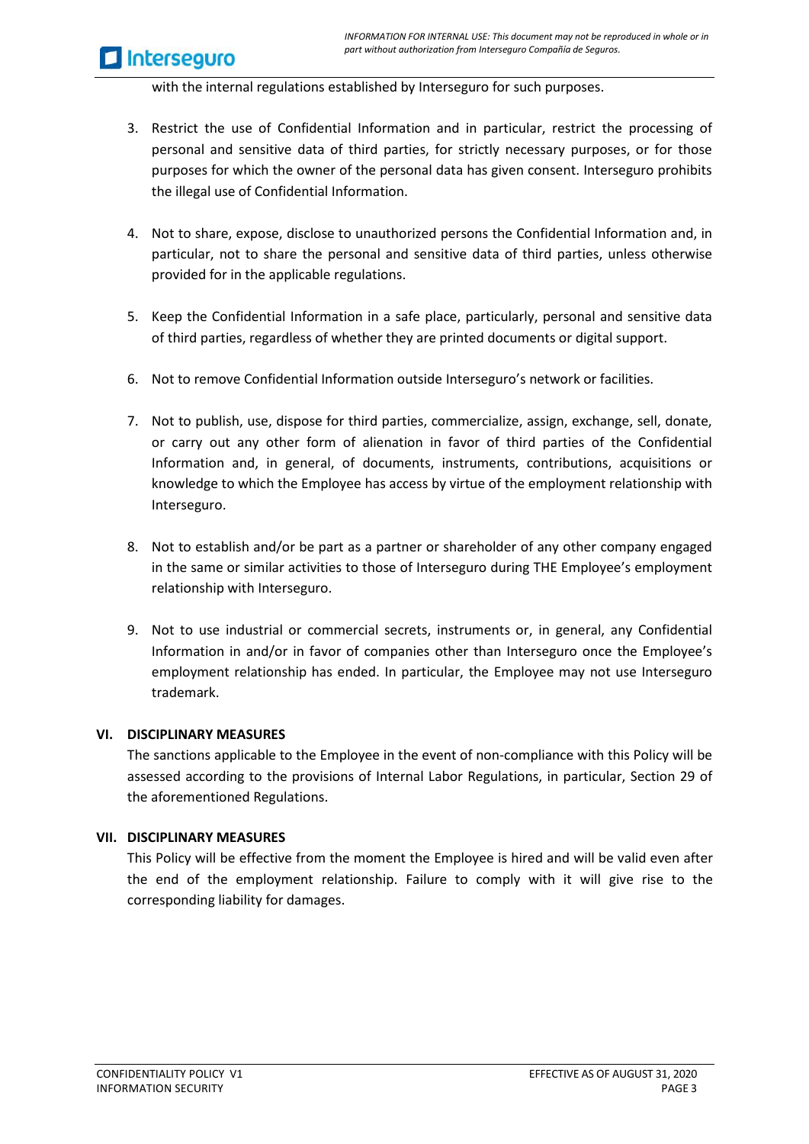**Interseguro** 

with the internal regulations established by Interseguro for such purposes.

- 3. Restrict the use of Confidential Information and in particular, restrict the processing of personal and sensitive data of third parties, for strictly necessary purposes, or for those purposes for which the owner of the personal data has given consent. Interseguro prohibits the illegal use of Confidential Information.
- 4. Not to share, expose, disclose to unauthorized persons the Confidential Information and, in particular, not to share the personal and sensitive data of third parties, unless otherwise provided for in the applicable regulations.
- 5. Keep the Confidential Information in a safe place, particularly, personal and sensitive data of third parties, regardless of whether they are printed documents or digital support.
- 6. Not to remove Confidential Information outside Interseguro's network or facilities.
- 7. Not to publish, use, dispose for third parties, commercialize, assign, exchange, sell, donate, or carry out any other form of alienation in favor of third parties of the Confidential Information and, in general, of documents, instruments, contributions, acquisitions or knowledge to which the Employee has access by virtue of the employment relationship with Interseguro.
- 8. Not to establish and/or be part as a partner or shareholder of any other company engaged in the same or similar activities to those of Interseguro during THE Employee's employment relationship with Interseguro.
- 9. Not to use industrial or commercial secrets, instruments or, in general, any Confidential Information in and/or in favor of companies other than Interseguro once the Employee's employment relationship has ended. In particular, the Employee may not use Interseguro trademark.

#### **VI. DISCIPLINARY MEASURES**

The sanctions applicable to the Employee in the event of non-compliance with this Policy will be assessed according to the provisions of Internal Labor Regulations, in particular, Section 29 of the aforementioned Regulations.

#### **VII. DISCIPLINARY MEASURES**

This Policy will be effective from the moment the Employee is hired and will be valid even after the end of the employment relationship. Failure to comply with it will give rise to the corresponding liability for damages.